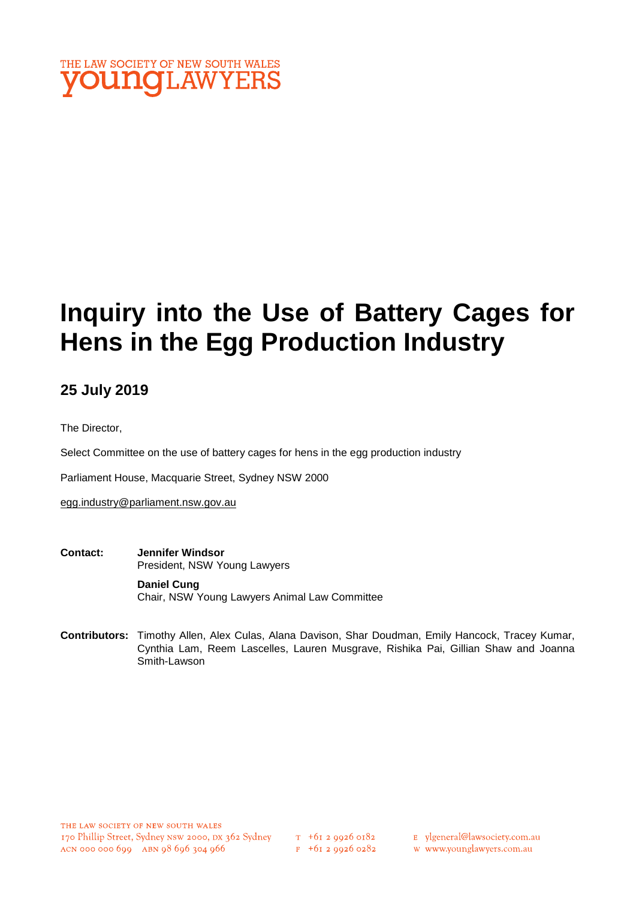

# **Inquiry into the Use of Battery Cages for Hens in the Egg Production Industry**

# **25 July 2019**

The Director,

Select Committee on the use of battery cages for hens in the egg production industry

Parliament House, Macquarie Street, Sydney NSW 2000

egg.industry@parliament.nsw.gov.au

**Contact: Jennifer Windsor**  President, NSW Young Lawyers

> **Daniel Cung** Chair, NSW Young Lawyers Animal Law Committee

**Contributors:** Timothy Allen, Alex Culas, Alana Davison, Shar Doudman, Emily Hancock, Tracey Kumar, Cynthia Lam, Reem Lascelles, Lauren Musgrave, Rishika Pai, Gillian Shaw and Joanna Smith-Lawson

- E ylgeneral@lawsociety.com.au
- w www.younglawyers.com.au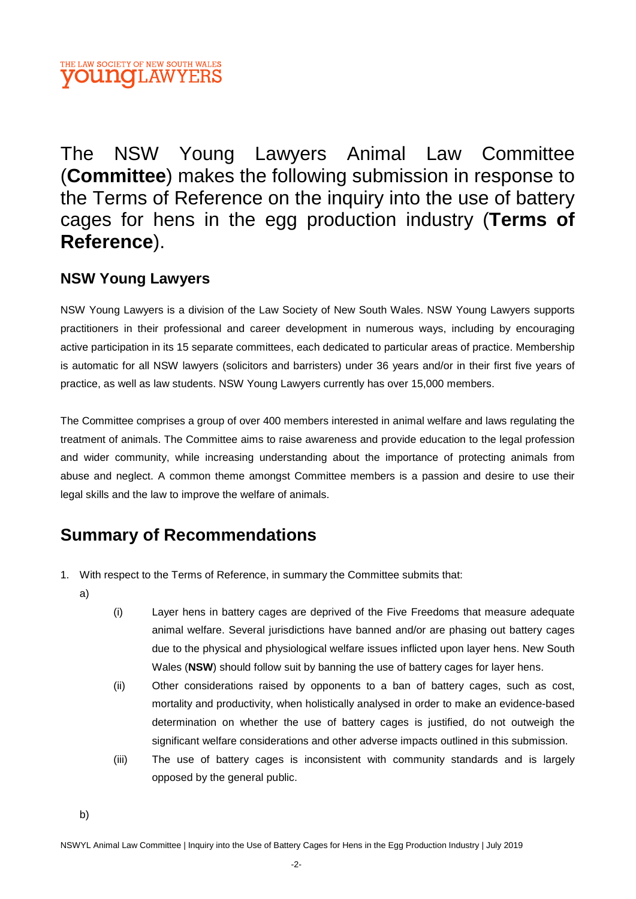# THE LAW SOCIETY OF NEW SOUTH WALES **OUNOLAWYERS**

The NSW Young Lawyers Animal Law Committee (**Committee**) makes the following submission in response to the Terms of Reference on the inquiry into the use of battery cages for hens in the egg production industry (**Terms of Reference**).

# **NSW Young Lawyers**

NSW Young Lawyers is a division of the Law Society of New South Wales. NSW Young Lawyers supports practitioners in their professional and career development in numerous ways, including by encouraging active participation in its 15 separate committees, each dedicated to particular areas of practice. Membership is automatic for all NSW lawyers (solicitors and barristers) under 36 years and/or in their first five years of practice, as well as law students. NSW Young Lawyers currently has over 15,000 members.

The Committee comprises a group of over 400 members interested in animal welfare and laws regulating the treatment of animals. The Committee aims to raise awareness and provide education to the legal profession and wider community, while increasing understanding about the importance of protecting animals from abuse and neglect. A common theme amongst Committee members is a passion and desire to use their legal skills and the law to improve the welfare of animals.

# **Summary of Recommendations**

- 1. With respect to the Terms of Reference, in summary the Committee submits that:
	- a)
- (i) Layer hens in battery cages are deprived of the Five Freedoms that measure adequate animal welfare. Several jurisdictions have banned and/or are phasing out battery cages due to the physical and physiological welfare issues inflicted upon layer hens. New South Wales (**NSW**) should follow suit by banning the use of battery cages for layer hens.
- (ii) Other considerations raised by opponents to a ban of battery cages, such as cost, mortality and productivity, when holistically analysed in order to make an evidence-based determination on whether the use of battery cages is justified, do not outweigh the significant welfare considerations and other adverse impacts outlined in this submission.
- (iii) The use of battery cages is inconsistent with community standards and is largely opposed by the general public.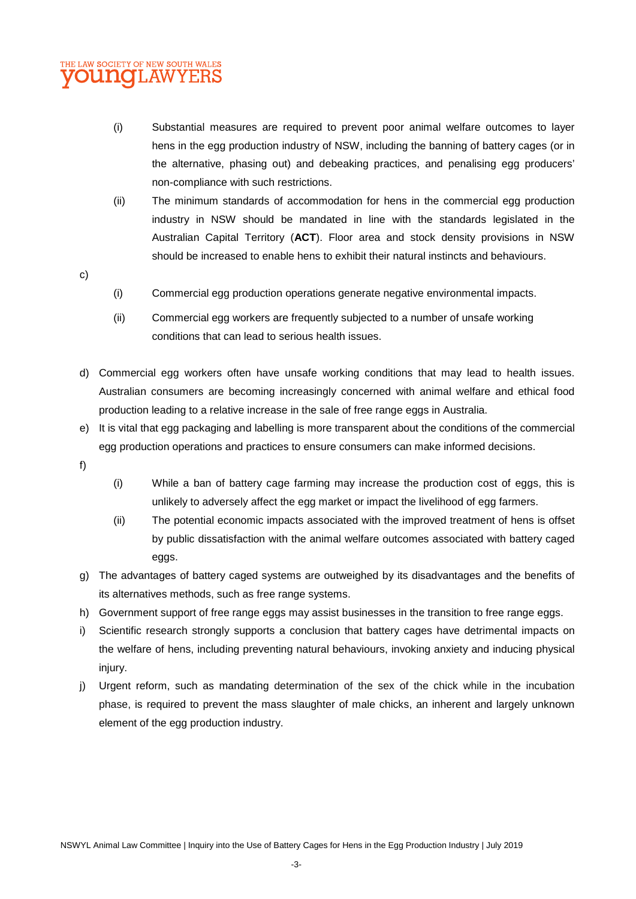## THE LAW SOCIETY OF NEW SOUTH WALES **OUNCLAWYERS**

- (i) Substantial measures are required to prevent poor animal welfare outcomes to layer hens in the egg production industry of NSW, including the banning of battery cages (or in the alternative, phasing out) and debeaking practices, and penalising egg producers' non-compliance with such restrictions.
- (ii) The minimum standards of accommodation for hens in the commercial egg production industry in NSW should be mandated in line with the standards legislated in the Australian Capital Territory (**ACT**). Floor area and stock density provisions in NSW should be increased to enable hens to exhibit their natural instincts and behaviours.
- c)
- (i) Commercial egg production operations generate negative environmental impacts.
- (ii) Commercial egg workers are frequently subjected to a number of unsafe working conditions that can lead to serious health issues.
- d) Commercial egg workers often have unsafe working conditions that may lead to health issues. Australian consumers are becoming increasingly concerned with animal welfare and ethical food production leading to a relative increase in the sale of free range eggs in Australia.
- e) It is vital that egg packaging and labelling is more transparent about the conditions of the commercial egg production operations and practices to ensure consumers can make informed decisions.
- f)
- (i) While a ban of battery cage farming may increase the production cost of eggs, this is unlikely to adversely affect the egg market or impact the livelihood of egg farmers.
- (ii) The potential economic impacts associated with the improved treatment of hens is offset by public dissatisfaction with the animal welfare outcomes associated with battery caged eggs.
- g) The advantages of battery caged systems are outweighed by its disadvantages and the benefits of its alternatives methods, such as free range systems.
- h) Government support of free range eggs may assist businesses in the transition to free range eggs.
- i) Scientific research strongly supports a conclusion that battery cages have detrimental impacts on the welfare of hens, including preventing natural behaviours, invoking anxiety and inducing physical injury.
- j) Urgent reform, such as mandating determination of the sex of the chick while in the incubation phase, is required to prevent the mass slaughter of male chicks, an inherent and largely unknown element of the egg production industry.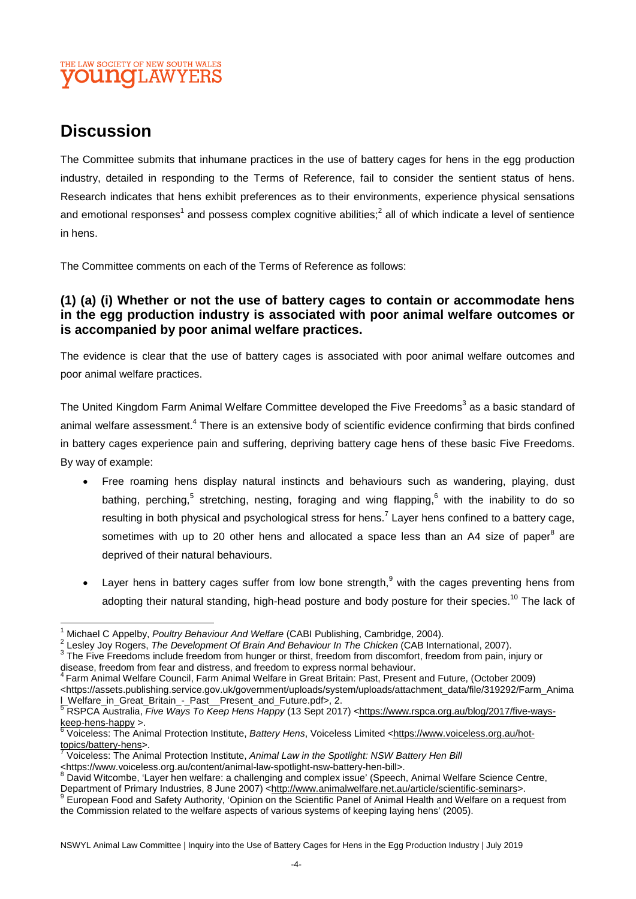# THE LAW SOCIETY OF NEW SOUTH WALES **JUNOT.AW**

# **Discussion**

The Committee submits that inhumane practices in the use of battery cages for hens in the egg production industry, detailed in responding to the Terms of Reference, fail to consider the sentient status of hens. Research indicates that hens exhibit preferences as to their environments, experience physical sensations and emotional responses<sup>1</sup> and possess complex cognitive abilities;<sup>2</sup> all of which indicate a level of sentience in hens.

The Committee comments on each of the Terms of Reference as follows:

### **(1) (a) (i) Whether or not the use of battery cages to contain or accommodate hens in the egg production industry is associated with poor animal welfare outcomes or is accompanied by poor animal welfare practices.**

The evidence is clear that the use of battery cages is associated with poor animal welfare outcomes and poor animal welfare practices.

The United Kingdom Farm Animal Welfare Committee developed the Five Freedoms<sup>3</sup> as a basic standard of animal welfare assessment.<sup>4</sup> There is an extensive body of scientific evidence confirming that birds confined in battery cages experience pain and suffering, depriving battery cage hens of these basic Five Freedoms. By way of example:

- Free roaming hens display natural instincts and behaviours such as wandering, playing, dust bathing, perching,<sup>5</sup> stretching, nesting, foraging and wing flapping,<sup>6</sup> with the inability to do so resulting in both physical and psychological stress for hens.<sup>7</sup> Layer hens confined to a battery cage, sometimes with up to 20 other hens and allocated a space less than an A4 size of paper $^8$  are deprived of their natural behaviours.
- Layer hens in battery cages suffer from low bone strength,  $9$  with the cages preventing hens from adopting their natural standing, high-head posture and body posture for their species.<sup>10</sup> The lack of

<sup>4</sup> Farm Animal Welfare Council, Farm Animal Welfare in Great Britain: Past, Present and Future, (October 2009) <https://assets.publishing.service.gov.uk/government/uploads/system/uploads/attachment\_data/file/319292/Farm\_Anima

<sup>1</sup> Michael C Appelby, *Poultry Behaviour And Welfare* (CABI Publishing, Cambridge, 2004).

<sup>2</sup> Lesley Joy Rogers, *The Development Of Brain And Behaviour In The Chicken* (CAB International, 2007).

<sup>&</sup>lt;sup>3</sup> The Five Freedoms include freedom from hunger or thirst, freedom from discomfort, freedom from pain, injury or disease, freedom from fear and distress, and freedom to express normal behaviour.

l\_Welfare\_in\_Great\_Britain\_-\_Past\_\_Present\_and\_Future.pdf>, 2.<br><sup>5</sup> RSPCA Australia, *Five Ways To Keep Hens Happy* (13 Sept 2017) <<u>https://www.rspca.org.au/blog/2017/five-ways-</u> keep-hens-happy >.

<sup>6</sup> Voiceless: The Animal Protection Institute, *Battery Hens*, Voiceless Limited <https://www.voiceless.org.au/hottopics/battery-hens>.

Voiceless: The Animal Protection Institute, *Animal Law in the Spotlight: NSW Battery Hen Bill*

<sup>&</sup>lt;https://www.voiceless.org.au/content/animal-law-spotlight-nsw-battery-hen-bill>.<br><sup>8</sup> David Witcombe, 'Layer hen welfare: a challenging and complex issue' (Speech, Animal Welfare Science Centre, Department of Primary Industries, 8 June 2007) <http://www.animalwelfare.net.au/article/scientific-seminars>.<br><sup>9</sup> European Eood and Sofoty Authority (Opinion on the Scientific Banal of Animal Health and Welfare an a regula

European Food and Safety Authority, 'Opinion on the Scientific Panel of Animal Health and Welfare on a request from the Commission related to the welfare aspects of various systems of keeping laying hens' (2005).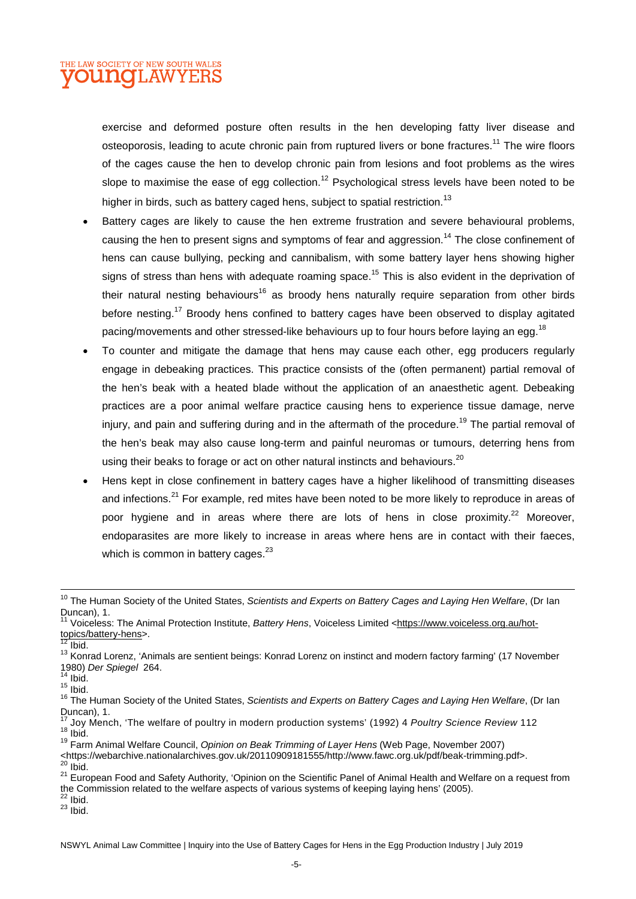

exercise and deformed posture often results in the hen developing fatty liver disease and osteoporosis, leading to acute chronic pain from ruptured livers or bone fractures.<sup>11</sup> The wire floors of the cages cause the hen to develop chronic pain from lesions and foot problems as the wires slope to maximise the ease of egg collection.<sup>12</sup> Psychological stress levels have been noted to be higher in birds, such as battery caged hens, subject to spatial restriction.<sup>13</sup>

- Battery cages are likely to cause the hen extreme frustration and severe behavioural problems, causing the hen to present signs and symptoms of fear and aggression.<sup>14</sup> The close confinement of hens can cause bullying, pecking and cannibalism, with some battery layer hens showing higher sians of stress than hens with adequate roaming space.<sup>15</sup> This is also evident in the deprivation of their natural nesting behaviours<sup>16</sup> as broody hens naturally require separation from other birds before nesting.<sup>17</sup> Broody hens confined to battery cages have been observed to display agitated pacing/movements and other stressed-like behaviours up to four hours before laying an egg.<sup>18</sup>
- To counter and mitigate the damage that hens may cause each other, egg producers regularly engage in debeaking practices. This practice consists of the (often permanent) partial removal of the hen's beak with a heated blade without the application of an anaesthetic agent. Debeaking practices are a poor animal welfare practice causing hens to experience tissue damage, nerve injury, and pain and suffering during and in the aftermath of the procedure.<sup>19</sup> The partial removal of the hen's beak may also cause long-term and painful neuromas or tumours, deterring hens from using their beaks to forage or act on other natural instincts and behaviours.<sup>20</sup>
- Hens kept in close confinement in battery cages have a higher likelihood of transmitting diseases and infections.<sup>21</sup> For example, red mites have been noted to be more likely to reproduce in areas of poor hygiene and in areas where there are lots of hens in close proximity.<sup>22</sup> Moreover, endoparasites are more likely to increase in areas where hens are in contact with their faeces, which is common in battery cages. $^{23}$

<sup>12</sup> Ibid.

 $14$  Ibid.  $15$  Ibid.

- <sup>19</sup> Farm Animal Welfare Council, *Opinion on Beak Trimming of Layer Hens* (Web Page, November 2007)
- <https://webarchive.nationalarchives.gov.uk/20110909181555/http://www.fawc.org.uk/pdf/beak-trimming.pdf>.  $20$  Ibid.
- 21 European Food and Safety Authority, 'Opinion on the Scientific Panel of Animal Health and Welfare on a request from the Commission related to the welfare aspects of various systems of keeping laying hens' (2005).
- $^{22}$  Ibid.

<sup>10</sup> The Human Society of the United States, *Scientists and Experts on Battery Cages and Laying Hen Welfare*, (Dr Ian Duncan), 1.

<sup>&</sup>lt;sup>11</sup> Voiceless: The Animal Protection Institute, Battery Hens, Voiceless Limited <https://www.voiceless.org.au/hottopics/battery-hens>.

<sup>13</sup> Konrad Lorenz, 'Animals are sentient beings: Konrad Lorenz on instinct and modern factory farming' (17 November 1980) *Der Spiegel* 264.

<sup>16</sup> The Human Society of the United States, *Scientists and Experts on Battery Cages and Laying Hen Welfare*, (Dr Ian Duncan), 1.

<sup>17</sup> Joy Mench, 'The welfare of poultry in modern production systems' (1992) 4 *Poultry Science Review* 112  $18$  Ibid.

 $^{23}$  Ibid.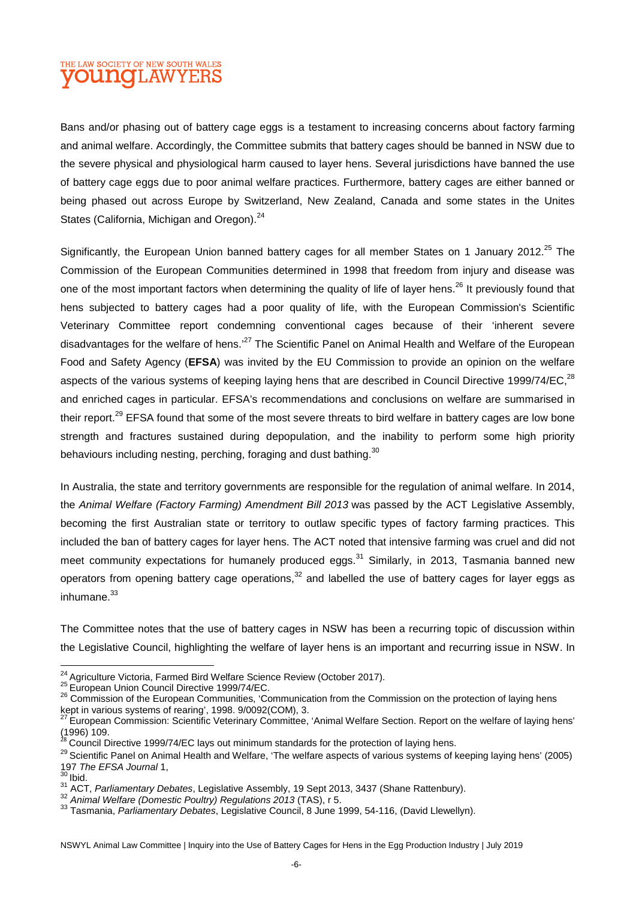# THE LAW SOCIETY OF NEW SOUTH WALES **OUINOT AW**

Bans and/or phasing out of battery cage eggs is a testament to increasing concerns about factory farming and animal welfare. Accordingly, the Committee submits that battery cages should be banned in NSW due to the severe physical and physiological harm caused to layer hens. Several jurisdictions have banned the use of battery cage eggs due to poor animal welfare practices. Furthermore, battery cages are either banned or being phased out across Europe by Switzerland, New Zealand, Canada and some states in the Unites States (California, Michigan and Oregon).<sup>24</sup>

Significantly, the European Union banned battery cages for all member States on 1 January 2012.<sup>25</sup> The Commission of the European Communities determined in 1998 that freedom from injury and disease was one of the most important factors when determining the quality of life of layer hens.<sup>26</sup> It previously found that hens subjected to battery cages had a poor quality of life, with the European Commission's Scientific Veterinary Committee report condemning conventional cages because of their 'inherent severe disadvantages for the welfare of hens.<sup>27</sup> The Scientific Panel on Animal Health and Welfare of the European Food and Safety Agency (**EFSA**) was invited by the EU Commission to provide an opinion on the welfare aspects of the various systems of keeping laying hens that are described in Council Directive 1999/74/EC.<sup>28</sup> and enriched cages in particular. EFSA's recommendations and conclusions on welfare are summarised in their report.<sup>29</sup> EFSA found that some of the most severe threats to bird welfare in battery cages are low bone strength and fractures sustained during depopulation, and the inability to perform some high priority behaviours including nesting, perching, foraging and dust bathing.<sup>30</sup>

In Australia, the state and territory governments are responsible for the regulation of animal welfare. In 2014, the *Animal Welfare (Factory Farming) Amendment Bill 2013* was passed by the ACT Legislative Assembly, becoming the first Australian state or territory to outlaw specific types of factory farming practices. This included the ban of battery cages for layer hens. The ACT noted that intensive farming was cruel and did not meet community expectations for humanely produced eggs.<sup>31</sup> Similarly, in 2013, Tasmania banned new operators from opening battery cage operations.<sup>32</sup> and labelled the use of battery cages for layer eggs as  $in$ humane. $33$ 

The Committee notes that the use of battery cages in NSW has been a recurring topic of discussion within the Legislative Council, highlighting the welfare of layer hens is an important and recurring issue in NSW. In

<sup>&</sup>lt;sup>24</sup> Agriculture Victoria, Farmed Bird Welfare Science Review (October 2017).

<sup>25</sup> European Union Council Directive 1999/74/EC.

<sup>&</sup>lt;sup>26</sup> Commission of the European Communities, 'Communication from the Commission on the protection of laying hens kept in various systems of rearing', 1998. 9/0092(COM), 3.

 $27$  European Commission: Scientific Veterinary Committee, 'Animal Welfare Section. Report on the welfare of laying hens'  $(1996)$  109.

<sup>28</sup> Council Directive 1999/74/EC lays out minimum standards for the protection of laying hens.

<sup>&</sup>lt;sup>29</sup> Scientific Panel on Animal Health and Welfare, 'The welfare aspects of various systems of keeping laying hens' (2005) 197 *The EFSA Journal* 1,

 $30$  Ibid.

<sup>31</sup> ACT, *Parliamentary Debates*, Legislative Assembly, 19 Sept 2013, 3437 (Shane Rattenbury).

<sup>32</sup> *Animal Welfare (Domestic Poultry) Regulations 2013* (TAS), r 5.

<sup>33</sup> Tasmania, *Parliamentary Debates*, Legislative Council, 8 June 1999, 54-116, (David Llewellyn).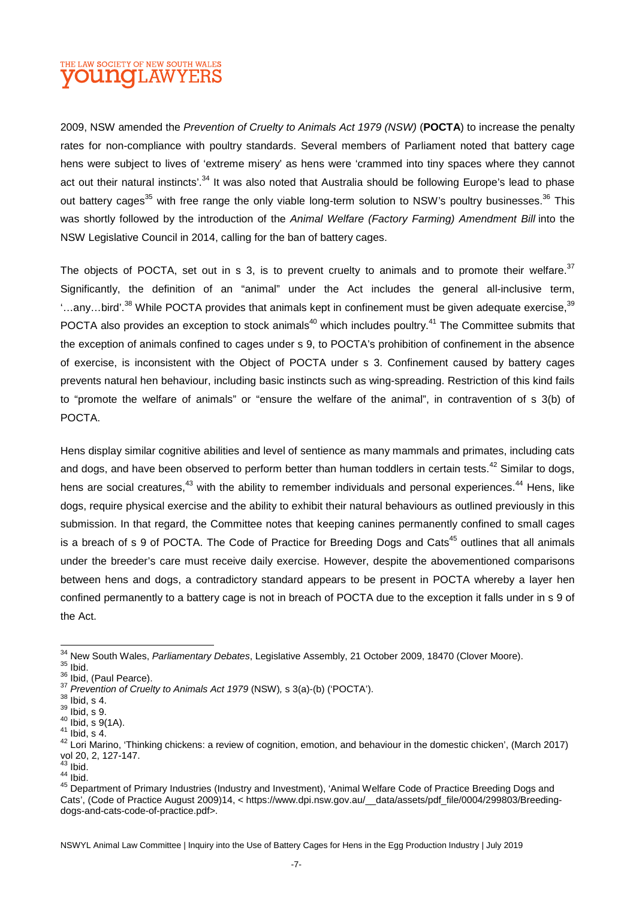## THE LAW SOCIETY OF NEW SOUTH WALES **DUNCLAWYE**

2009, NSW amended the *Prevention of Cruelty to Animals Act 1979 (NSW)* (**POCTA**) to increase the penalty rates for non-compliance with poultry standards. Several members of Parliament noted that battery cage hens were subject to lives of 'extreme misery' as hens were 'crammed into tiny spaces where they cannot act out their natural instincts'.<sup>34</sup> It was also noted that Australia should be following Europe's lead to phase out battery cages<sup>35</sup> with free range the only viable long-term solution to NSW's poultry businesses.<sup>36</sup> This was shortly followed by the introduction of the *Animal Welfare (Factory Farming) Amendment Bill* into the NSW Legislative Council in 2014, calling for the ban of battery cages.

The objects of POCTA, set out in s 3, is to prevent cruelty to animals and to promote their welfare.  $37$ Significantly, the definition of an "animal" under the Act includes the general all-inclusive term, '...any...bird'.<sup>38</sup> While POCTA provides that animals kept in confinement must be given adequate exercise,<sup>39</sup> POCTA also provides an exception to stock animals<sup>40</sup> which includes poultry.<sup>41</sup> The Committee submits that the exception of animals confined to cages under s 9, to POCTA's prohibition of confinement in the absence of exercise, is inconsistent with the Object of POCTA under s 3. Confinement caused by battery cages prevents natural hen behaviour, including basic instincts such as wing-spreading. Restriction of this kind fails to "promote the welfare of animals" or "ensure the welfare of the animal", in contravention of s 3(b) of POCTA.

Hens display similar cognitive abilities and level of sentience as many mammals and primates, including cats and dogs, and have been observed to perform better than human toddlers in certain tests.<sup>42</sup> Similar to dogs, hens are social creatures.<sup>43</sup> with the ability to remember individuals and personal experiences.<sup>44</sup> Hens, like dogs, require physical exercise and the ability to exhibit their natural behaviours as outlined previously in this submission. In that regard, the Committee notes that keeping canines permanently confined to small cages is a breach of s 9 of POCTA. The Code of Practice for Breeding Dogs and Cats<sup>45</sup> outlines that all animals under the breeder's care must receive daily exercise. However, despite the abovementioned comparisons between hens and dogs, a contradictory standard appears to be present in POCTA whereby a layer hen confined permanently to a battery cage is not in breach of POCTA due to the exception it falls under in s 9 of the Act.

<sup>34</sup> New South Wales, *Parliamentary Debates*, Legislative Assembly, 21 October 2009, 18470 (Clover Moore).

 $35$  Ibid.

<sup>&</sup>lt;sup>36</sup> Ibid, (Paul Pearce).

<sup>37</sup> *Prevention of Cruelty to Animals Act 1979* (NSW)*,* s 3(a)-(b) ('POCTA').

 $38$  Ibid, s 4.

 $39$  Ibid, s 9.

 $40$  Ibid, s  $9(1A)$ .

 $41$  Ibid, s 4.

<sup>42</sup> Lori Marino, 'Thinking chickens: a review of cognition, emotion, and behaviour in the domestic chicken', (March 2017) vol 20, 2, 127-147.

 $43$  Ibid.  $44$  lbid.

<sup>45</sup> Department of Primary Industries (Industry and Investment), 'Animal Welfare Code of Practice Breeding Dogs and Cats', (Code of Practice August 2009)14, < https://www.dpi.nsw.gov.au/\_\_data/assets/pdf\_file/0004/299803/Breedingdogs-and-cats-code-of-practice.pdf>.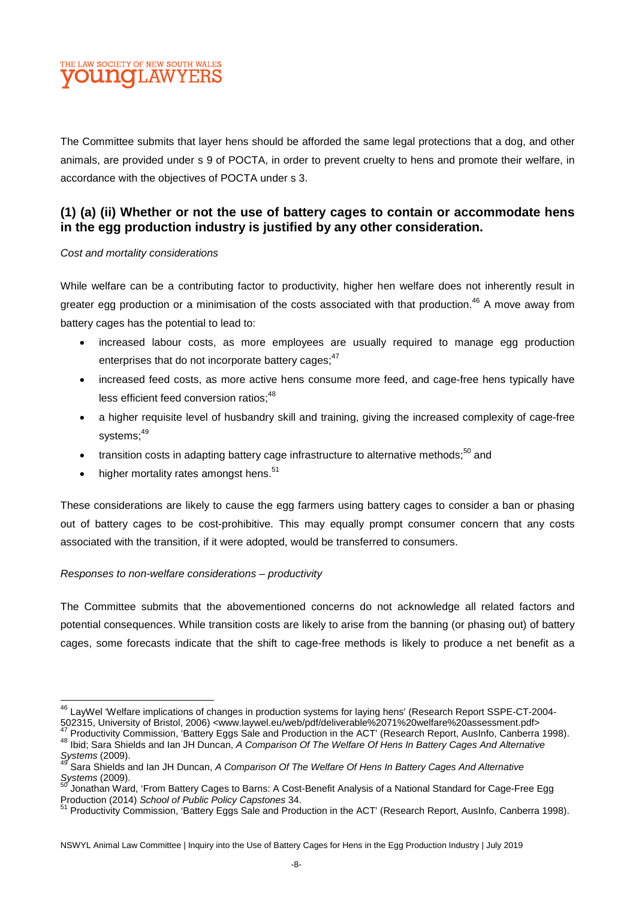

The Committee submits that layer hens should be afforded the same legal protections that a dog, and other animals, are provided under s 9 of POCTA, in order to prevent cruelty to hens and promote their welfare, in accordance with the objectives of POCTA under s 3.

#### **(1) (a) (ii) Whether or not the use of battery cages to contain or accommodate hens in the egg production industry is justified by any other consideration.**

#### *Cost and mortality considerations*

While welfare can be a contributing factor to productivity, higher hen welfare does not inherently result in greater egg production or a minimisation of the costs associated with that production.<sup>46</sup> A move away from battery cages has the potential to lead to:

- increased labour costs, as more employees are usually required to manage egg production enterprises that do not incorporate battery cages; <sup>47</sup>
- increased feed costs, as more active hens consume more feed, and cage-free hens typically have less efficient feed conversion ratios;<sup>48</sup>
- a higher requisite level of husbandry skill and training, giving the increased complexity of cage-free systems:<sup>49</sup>
- transition costs in adapting battery cage infrastructure to alternative methods; $50$  and
- $\bullet$  higher mortality rates amongst hens.<sup>51</sup>

These considerations are likely to cause the egg farmers using battery cages to consider a ban or phasing out of battery cages to be cost-prohibitive. This may equally prompt consumer concern that any costs associated with the transition, if it were adopted, would be transferred to consumers.

#### *Responses to non-welfare considerations – productivity*

The Committee submits that the abovementioned concerns do not acknowledge all related factors and potential consequences. While transition costs are likely to arise from the banning (or phasing out) of battery cages, some forecasts indicate that the shift to cage-free methods is likely to produce a net benefit as a

<sup>46</sup> LayWel 'Welfare implications of changes in production systems for laying hens' (Research Report SSPE-CT-2004- 502315, University of Bristol, 2006) <www.laywel.eu/web/pdf/deliverable%2071%20welfare%20assessment.pdf>

<sup>47</sup> Productivity Commission, 'Battery Eggs Sale and Production in the ACT' (Research Report, AusInfo, Canberra 1998). <sup>48</sup> Ibid; Sara Shields and Ian JH Duncan, *A Comparison Of The Welfare Of Hens In Battery Cages And Alternative* 

*Systems* (2009). <sup>49</sup> Sara Shields and Ian JH Duncan, *A Comparison Of The Welfare Of Hens In Battery Cages And Alternative* 

*Systems* (2009).

Jonathan Ward, 'From Battery Cages to Barns: A Cost-Benefit Analysis of a National Standard for Cage-Free Egg Production (2014) *School of Public Policy Capstones* 34.

<sup>51</sup> Productivity Commission, 'Battery Eggs Sale and Production in the ACT' (Research Report, AusInfo, Canberra 1998).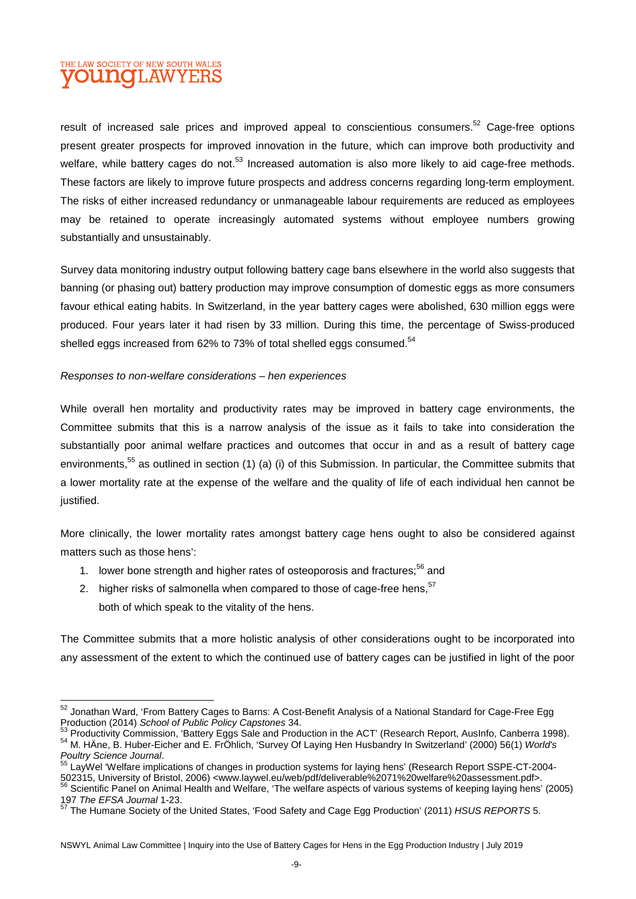# THE LAW SOCIETY OF NEW SOUTH WALES **DUINOTI, AW**

result of increased sale prices and improved appeal to conscientious consumers.<sup>52</sup> Cage-free options present greater prospects for improved innovation in the future, which can improve both productivity and welfare, while battery cages do not.<sup>53</sup> Increased automation is also more likely to aid cage-free methods. These factors are likely to improve future prospects and address concerns regarding long-term employment. The risks of either increased redundancy or unmanageable labour requirements are reduced as employees may be retained to operate increasingly automated systems without employee numbers growing substantially and unsustainably.

Survey data monitoring industry output following battery cage bans elsewhere in the world also suggests that banning (or phasing out) battery production may improve consumption of domestic eggs as more consumers favour ethical eating habits. In Switzerland, in the year battery cages were abolished, 630 million eggs were produced. Four years later it had risen by 33 million. During this time, the percentage of Swiss-produced shelled eggs increased from 62% to 73% of total shelled eggs consumed.<sup>54</sup>

#### *Responses to non-welfare considerations – hen experiences*

While overall hen mortality and productivity rates may be improved in battery cage environments, the Committee submits that this is a narrow analysis of the issue as it fails to take into consideration the substantially poor animal welfare practices and outcomes that occur in and as a result of battery cage environments.<sup>55</sup> as outlined in section (1) (a) (i) of this Submission. In particular, the Committee submits that a lower mortality rate at the expense of the welfare and the quality of life of each individual hen cannot be justified.

More clinically, the lower mortality rates amongst battery cage hens ought to also be considered against matters such as those hens':

- 1. lower bone strength and higher rates of osteoporosis and fractures:<sup>56</sup> and
- 2. higher risks of salmonella when compared to those of cage-free hens,<sup>57</sup> both of which speak to the vitality of the hens.

The Committee submits that a more holistic analysis of other considerations ought to be incorporated into any assessment of the extent to which the continued use of battery cages can be justified in light of the poor

<sup>52</sup> Jonathan Ward, 'From Battery Cages to Barns: A Cost-Benefit Analysis of a National Standard for Cage-Free Egg Production (2014) *School of Public Policy Capstones* 34.

<sup>53</sup> Productivity Commission, 'Battery Eggs Sale and Production in the ACT' (Research Report, AusInfo, Canberra 1998). <sup>54</sup> M. HÄne, B. Huber-Eicher and E. FrÖhlich, 'Survey Of Laying Hen Husbandry In Switzerland' (2000) 56(1) *World's Poultry Science Journal*.

<sup>55</sup> LayWel 'Welfare implications of changes in production systems for laying hens' (Research Report SSPE-CT-2004- 502315, University of Bristol, 2006) <www.laywel.eu/web/pdf/deliverable%2071%20welfare%20assessment.pdf>. <sup>56</sup> Scientific Panel on Animal Health and Welfare, 'The welfare aspects of various systems of keeping laying hens' (2005) 197 *The EFSA Journal* 1-23.

<sup>57</sup> The Humane Society of the United States, 'Food Safety and Cage Egg Production' (2011) *HSUS REPORTS* 5.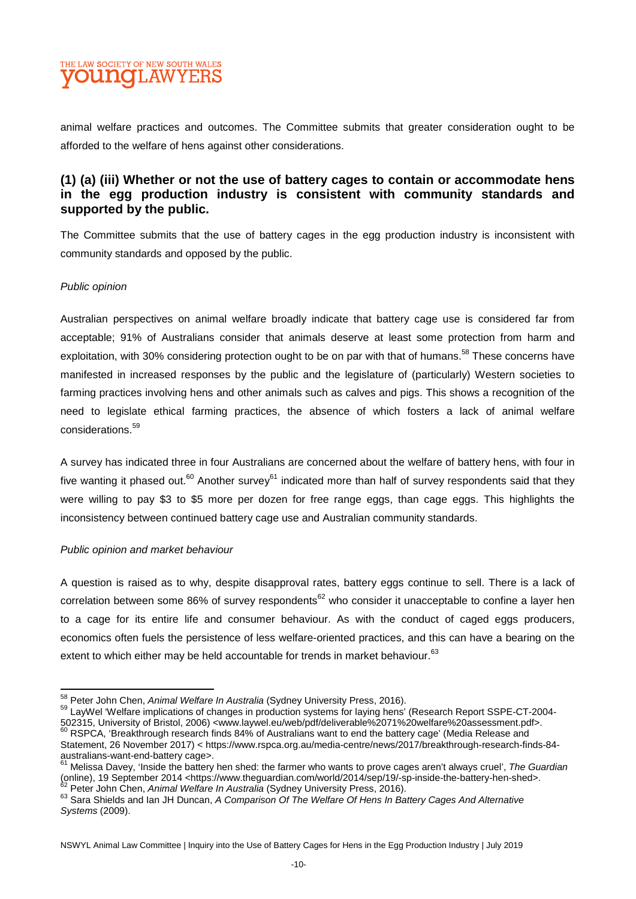# THE LAW SOCIETY OF NEW SOUTH WALES **DUINOT AW**

animal welfare practices and outcomes. The Committee submits that greater consideration ought to be afforded to the welfare of hens against other considerations.

#### **(1) (a) (iii) Whether or not the use of battery cages to contain or accommodate hens in the egg production industry is consistent with community standards and supported by the public.**

The Committee submits that the use of battery cages in the egg production industry is inconsistent with community standards and opposed by the public.

#### *Public opinion*

Australian perspectives on animal welfare broadly indicate that battery cage use is considered far from acceptable; 91% of Australians consider that animals deserve at least some protection from harm and exploitation, with 30% considering protection ought to be on par with that of humans.<sup>58</sup> These concerns have manifested in increased responses by the public and the legislature of (particularly) Western societies to farming practices involving hens and other animals such as calves and pigs. This shows a recognition of the need to legislate ethical farming practices, the absence of which fosters a lack of animal welfare considerations.<sup>59</sup>

A survey has indicated three in four Australians are concerned about the welfare of battery hens, with four in five wanting it phased out.<sup>60</sup> Another survey<sup>61</sup> indicated more than half of survey respondents said that they were willing to pay \$3 to \$5 more per dozen for free range eggs, than cage eggs. This highlights the inconsistency between continued battery cage use and Australian community standards.

#### *Public opinion and market behaviour*

A question is raised as to why, despite disapproval rates, battery eggs continue to sell. There is a lack of correlation between some 86% of survey respondents<sup>62</sup> who consider it unacceptable to confine a layer hen to a cage for its entire life and consumer behaviour. As with the conduct of caged eggs producers, economics often fuels the persistence of less welfare-oriented practices, and this can have a bearing on the extent to which either may be held accountable for trends in market behaviour.<sup>63</sup>

<sup>58</sup> Peter John Chen, *Animal Welfare In Australia* (Sydney University Press, 2016).

<sup>59</sup> LayWel 'Welfare implications of changes in production systems for laying hens' (Research Report SSPE-CT-2004- 502315, University of Bristol, 2006) <www.laywel.eu/web/pdf/deliverable%2071%20welfare%20assessment.pdf>. <sup>60</sup> RSPCA, 'Breakthrough research finds 84% of Australians want to end the battery cage' (Media Release and

Statement, 26 November 2017) < https://www.rspca.org.au/media-centre/news/2017/breakthrough-research-finds-84 australians-want-end-battery cage>.

<sup>61</sup> Melissa Davey, 'Inside the battery hen shed: the farmer who wants to prove cages aren't always cruel', *The Guardian* (online), 19 September 2014 <https://www.theguardian.com/world/2014/sep/19/-sp-inside-the-battery-hen-shed>. Peter John Chen, *Animal Welfare In Australia* (Sydney University Press, 2016).

<sup>63</sup> Sara Shields and Ian JH Duncan, *A Comparison Of The Welfare Of Hens In Battery Cages And Alternative Systems* (2009).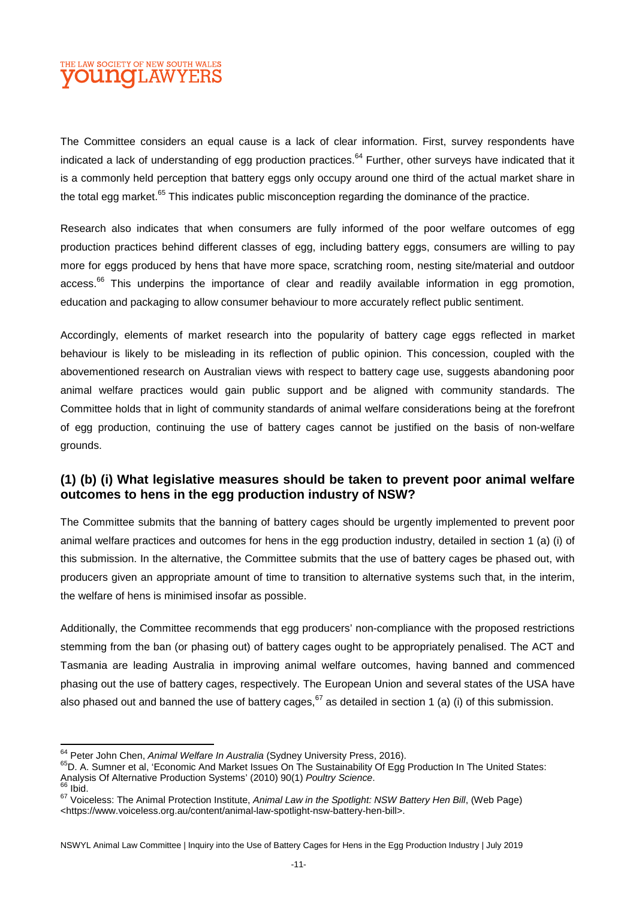# THE LAW SOCIETY OF NEW SOUTH WALES **OUNCLAWYERS**

The Committee considers an equal cause is a lack of clear information. First, survey respondents have indicated a lack of understanding of egg production practices.<sup>64</sup> Further, other surveys have indicated that it is a commonly held perception that battery eggs only occupy around one third of the actual market share in the total egg market.<sup>65</sup> This indicates public misconception regarding the dominance of the practice.

Research also indicates that when consumers are fully informed of the poor welfare outcomes of egg production practices behind different classes of egg, including battery eggs, consumers are willing to pay more for eggs produced by hens that have more space, scratching room, nesting site/material and outdoor access.<sup>66</sup> This underpins the importance of clear and readily available information in egg promotion, education and packaging to allow consumer behaviour to more accurately reflect public sentiment.

Accordingly, elements of market research into the popularity of battery cage eggs reflected in market behaviour is likely to be misleading in its reflection of public opinion. This concession, coupled with the abovementioned research on Australian views with respect to battery cage use, suggests abandoning poor animal welfare practices would gain public support and be aligned with community standards. The Committee holds that in light of community standards of animal welfare considerations being at the forefront of egg production, continuing the use of battery cages cannot be justified on the basis of non-welfare grounds.

#### **(1) (b) (i) What legislative measures should be taken to prevent poor animal welfare outcomes to hens in the egg production industry of NSW?**

The Committee submits that the banning of battery cages should be urgently implemented to prevent poor animal welfare practices and outcomes for hens in the egg production industry, detailed in section 1 (a) (i) of this submission. In the alternative, the Committee submits that the use of battery cages be phased out, with producers given an appropriate amount of time to transition to alternative systems such that, in the interim, the welfare of hens is minimised insofar as possible.

Additionally, the Committee recommends that egg producers' non-compliance with the proposed restrictions stemming from the ban (or phasing out) of battery cages ought to be appropriately penalised. The ACT and Tasmania are leading Australia in improving animal welfare outcomes, having banned and commenced phasing out the use of battery cages, respectively. The European Union and several states of the USA have also phased out and banned the use of battery cages,  $67$  as detailed in section 1 (a) (i) of this submission.

<sup>64</sup> Peter John Chen, *Animal Welfare In Australia* (Sydney University Press, 2016).

<sup>&</sup>lt;sup>65</sup>D. A. Sumner et al, 'Economic And Market Issues On The Sustainability Of Egg Production In The United States: Analysis Of Alternative Production Systems' (2010) 90(1) *Poultry Science*.  $66$  Ibid.

<sup>67</sup> Voiceless: The Animal Protection Institute, *Animal Law in the Spotlight: NSW Battery Hen Bill*, (Web Page) <https://www.voiceless.org.au/content/animal-law-spotlight-nsw-battery-hen-bill>.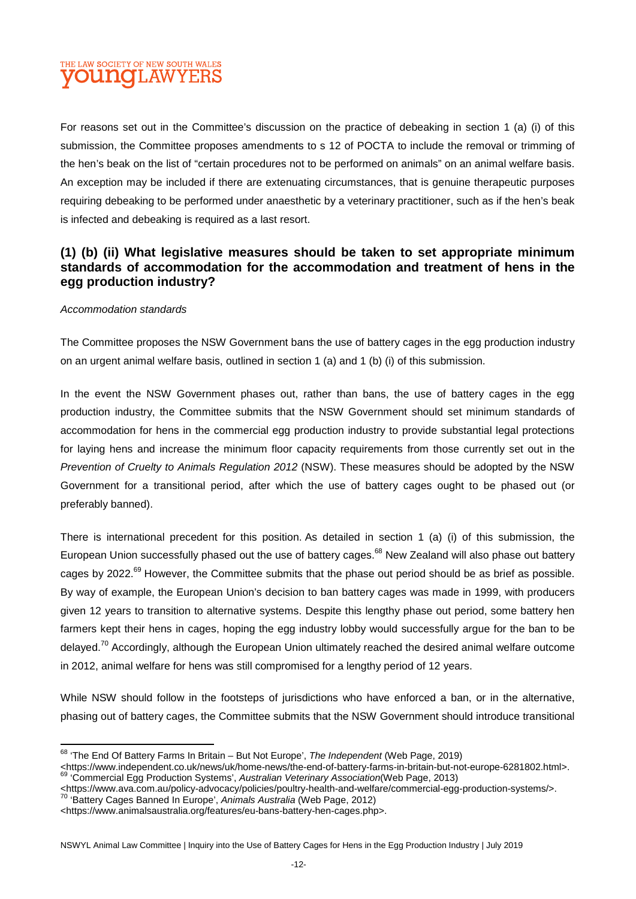# THE LAW SOCIETY OF NEW SOUTH WALES **OUNCLAW**

For reasons set out in the Committee's discussion on the practice of debeaking in section 1 (a) (i) of this submission, the Committee proposes amendments to s 12 of POCTA to include the removal or trimming of the hen's beak on the list of "certain procedures not to be performed on animals" on an animal welfare basis. An exception may be included if there are extenuating circumstances, that is genuine therapeutic purposes requiring debeaking to be performed under anaesthetic by a veterinary practitioner, such as if the hen's beak is infected and debeaking is required as a last resort.

#### **(1) (b) (ii) What legislative measures should be taken to set appropriate minimum standards of accommodation for the accommodation and treatment of hens in the egg production industry?**

#### *Accommodation standards*

The Committee proposes the NSW Government bans the use of battery cages in the egg production industry on an urgent animal welfare basis, outlined in section 1 (a) and 1 (b) (i) of this submission.

In the event the NSW Government phases out, rather than bans, the use of battery cages in the egg production industry, the Committee submits that the NSW Government should set minimum standards of accommodation for hens in the commercial egg production industry to provide substantial legal protections for laying hens and increase the minimum floor capacity requirements from those currently set out in the *Prevention of Cruelty to Animals Regulation 2012* (NSW). These measures should be adopted by the NSW Government for a transitional period, after which the use of battery cages ought to be phased out (or preferably banned).

There is international precedent for this position. As detailed in section 1 (a) (i) of this submission, the European Union successfully phased out the use of battery cages.<sup>68</sup> New Zealand will also phase out battery cages by 2022.<sup>69</sup> However, the Committee submits that the phase out period should be as brief as possible. By way of example, the European Union's decision to ban battery cages was made in 1999, with producers given 12 years to transition to alternative systems. Despite this lengthy phase out period, some battery hen farmers kept their hens in cages, hoping the egg industry lobby would successfully argue for the ban to be delayed.<sup>70</sup> Accordingly, although the European Union ultimately reached the desired animal welfare outcome in 2012, animal welfare for hens was still compromised for a lengthy period of 12 years.

While NSW should follow in the footsteps of jurisdictions who have enforced a ban, or in the alternative, phasing out of battery cages, the Committee submits that the NSW Government should introduce transitional

<sup>68</sup> 'The End Of Battery Farms In Britain – But Not Europe', *The Independent* (Web Page, 2019)

<sup>&</sup>lt;https://www.independent.co.uk/news/uk/home-news/the-end-of-battery-farms-in-britain-but-not-europe-6281802.html>. <sup>69</sup> 'Commercial Egg Production Systems', *Australian Veterinary Association*(Web Page, 2013)

<sup>&</sup>lt;https://www.ava.com.au/policy-advocacy/policies/poultry-health-and-welfare/commercial-egg-production-systems/>. <sup>70</sup> 'Battery Cages Banned In Europe', *Animals Australia* (Web Page, 2012)

<sup>&</sup>lt;https://www.animalsaustralia.org/features/eu-bans-battery-hen-cages.php>.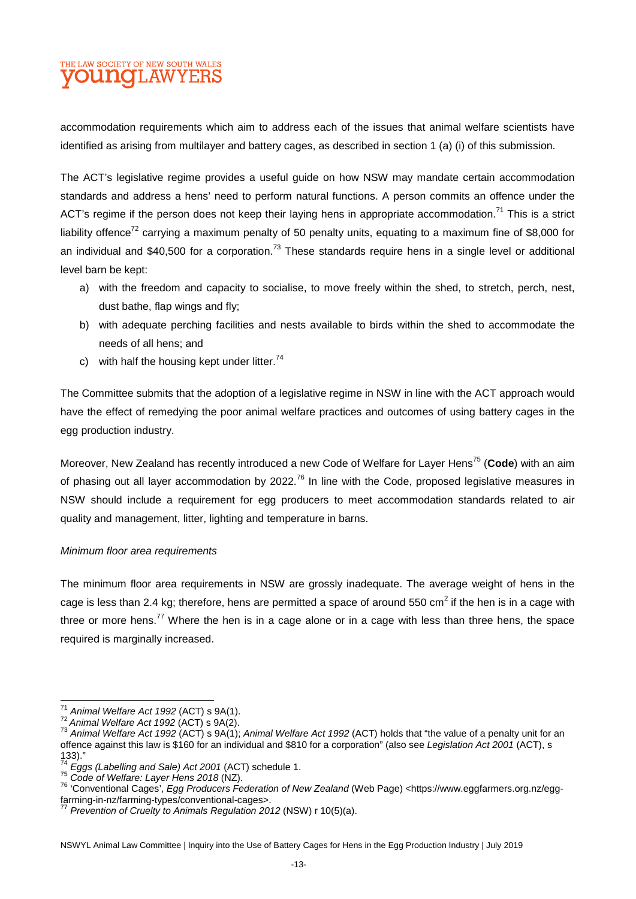# THE LAW SOCIETY OF NEW SOUTH WALES **TI.AW**

accommodation requirements which aim to address each of the issues that animal welfare scientists have identified as arising from multilayer and battery cages, as described in section 1 (a) (i) of this submission.

The ACT's legislative regime provides a useful guide on how NSW may mandate certain accommodation standards and address a hens' need to perform natural functions. A person commits an offence under the ACT's regime if the person does not keep their laying hens in appropriate accommodation.<sup>71</sup> This is a strict liability offence<sup>72</sup> carrying a maximum penalty of 50 penalty units, equating to a maximum fine of \$8,000 for an individual and \$40,500 for a corporation.<sup>73</sup> These standards require hens in a single level or additional level barn be kept:

- a) with the freedom and capacity to socialise, to move freely within the shed, to stretch, perch, nest, dust bathe, flap wings and fly;
- b) with adequate perching facilities and nests available to birds within the shed to accommodate the needs of all hens; and
- c) with half the housing kept under litter.  $74$

The Committee submits that the adoption of a legislative regime in NSW in line with the ACT approach would have the effect of remedying the poor animal welfare practices and outcomes of using battery cages in the egg production industry.

Moreover, New Zealand has recently introduced a new Code of Welfare for Layer Hens<sup>75</sup> (**Code**) with an aim of phasing out all layer accommodation by 2022.<sup>76</sup> In line with the Code, proposed legislative measures in NSW should include a requirement for egg producers to meet accommodation standards related to air quality and management, litter, lighting and temperature in barns.

#### *Minimum floor area requirements*

The minimum floor area requirements in NSW are grossly inadequate. The average weight of hens in the cage is less than 2.4 kg; therefore, hens are permitted a space of around 550 cm<sup>2</sup> if the hen is in a cage with three or more hens.<sup>77</sup> Where the hen is in a cage alone or in a cage with less than three hens, the space required is marginally increased.

<sup>71</sup> *Animal Welfare Act 1992* (ACT) s 9A(1).

<sup>72</sup>*Animal Welfare Act 1992* (ACT) s 9A(2).

<sup>73</sup> *Animal Welfare Act 1992* (ACT) s 9A(1); *Animal Welfare Act 1992* (ACT) holds that "the value of a penalty unit for an offence against this law is \$160 for an individual and \$810 for a corporation" (also see *Legislation Act 2001* (ACT), s  $\frac{133}{74}$ ."

<sup>74</sup> *Eggs (Labelling and Sale) Act 2001* (ACT) schedule 1.

<sup>75</sup> *Code of Welfare: Layer Hens 2018* (NZ).

<sup>76</sup> 'Conventional Cages', *Egg Producers Federation of New Zealand* (Web Page) <https://www.eggfarmers.org.nz/eggfarming-in-nz/farming-types/conventional-cages>.

*Prevention of Cruelty to Animals Regulation 2012* (NSW) r 10(5)(a).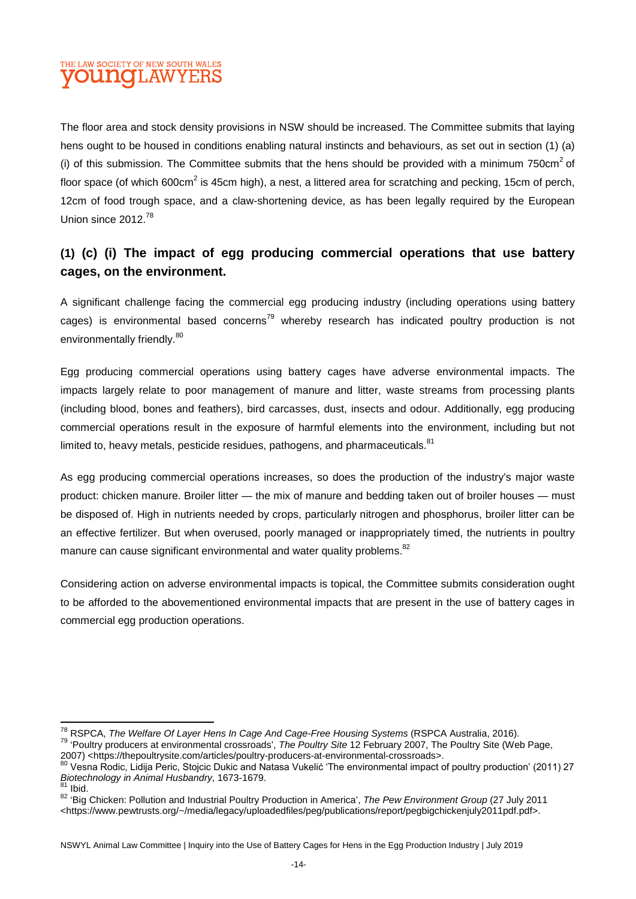# THE LAW SOCIETY OF NEW SOUTH WALES **OUINCH.AW**

The floor area and stock density provisions in NSW should be increased. The Committee submits that laying hens ought to be housed in conditions enabling natural instincts and behaviours, as set out in section (1) (a) (i) of this submission. The Committee submits that the hens should be provided with a minimum 750 $cm<sup>2</sup>$  of floor space (of which 600cm<sup>2</sup> is 45cm high), a nest, a littered area for scratching and pecking, 15cm of perch, 12cm of food trough space, and a claw-shortening device, as has been legally required by the European Union since 2012.<sup>78</sup>

# **(1) (c) (i) The impact of egg producing commercial operations that use battery cages, on the environment.**

A significant challenge facing the commercial egg producing industry (including operations using battery cages) is environmental based concerns<sup>79</sup> whereby research has indicated poultry production is not environmentally friendly.<sup>80</sup>

Egg producing commercial operations using battery cages have adverse environmental impacts. The impacts largely relate to poor management of manure and litter, waste streams from processing plants (including blood, bones and feathers), bird carcasses, dust, insects and odour. Additionally, egg producing commercial operations result in the exposure of harmful elements into the environment, including but not limited to, heavy metals, pesticide residues, pathogens, and pharmaceuticals. $81$ 

As egg producing commercial operations increases, so does the production of the industry's major waste product: chicken manure. Broiler litter — the mix of manure and bedding taken out of broiler houses — must be disposed of. High in nutrients needed by crops, particularly nitrogen and phosphorus, broiler litter can be an effective fertilizer. But when overused, poorly managed or inappropriately timed, the nutrients in poultry manure can cause significant environmental and water quality problems.<sup>82</sup>

Considering action on adverse environmental impacts is topical, the Committee submits consideration ought to be afforded to the abovementioned environmental impacts that are present in the use of battery cages in commercial egg production operations.

<sup>78</sup> RSPCA, *The Welfare Of Layer Hens In Cage And Cage-Free Housing Systems* (RSPCA Australia, 2016). <sup>79</sup> 'Poultry producers at environmental crossroads', *The Poultry Site* 12 February 2007, The Poultry Site (Web Page,

<sup>2007) &</sup>lt;https://thepoultrysite.com/articles/poultry-producers-at-environmental-crossroads>.

<sup>80</sup> Vesna Rodic, Lidija Peric, Stojcic Dukic and Natasa Vukelić 'The environmental impact of poultry production' (2011) 27 *Biotechnology in Animal Husbandry*, 1673-1679.

 $81$  Ibid.

<sup>82</sup> 'Big Chicken: Pollution and Industrial Poultry Production in America', *The Pew Environment Group* (27 July 2011 <https://www.pewtrusts.org/~/media/legacy/uploadedfiles/peg/publications/report/pegbigchickenjuly2011pdf.pdf>.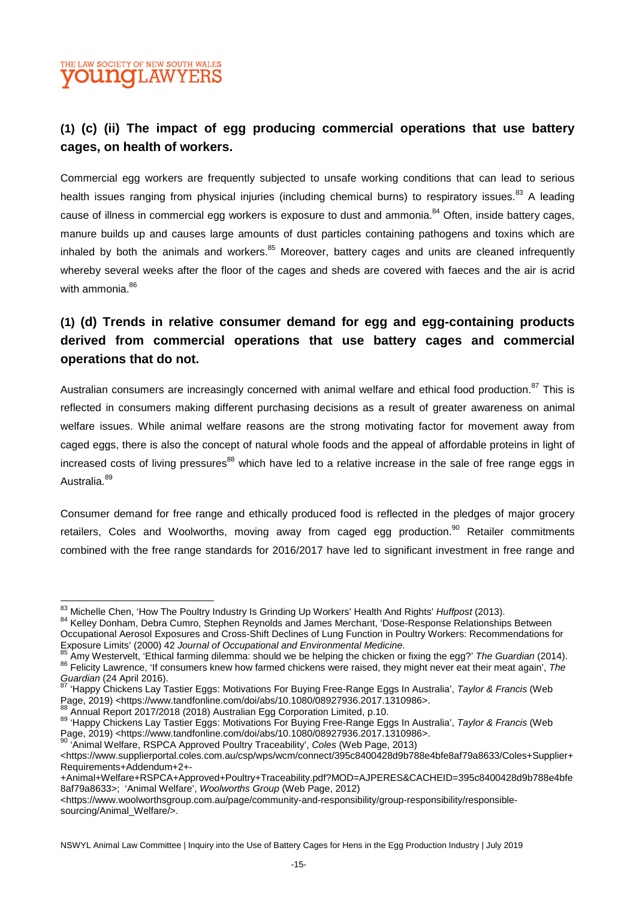# THE LAW SOCIETY OF NEW SOUTH WALES **OUINOT AW**

# **(1) (c) (ii) The impact of egg producing commercial operations that use battery cages, on health of workers.**

Commercial egg workers are frequently subjected to unsafe working conditions that can lead to serious health issues ranging from physical injuries (including chemical burns) to respiratory issues.<sup>83</sup> A leading cause of illness in commercial egg workers is exposure to dust and ammonia.<sup>84</sup> Often, inside battery cages, manure builds up and causes large amounts of dust particles containing pathogens and toxins which are inhaled by both the animals and workers. $85$  Moreover, battery cages and units are cleaned infrequently whereby several weeks after the floor of the cages and sheds are covered with faeces and the air is acrid with ammonia.<sup>86</sup>

# **(1) (d) Trends in relative consumer demand for egg and egg-containing products derived from commercial operations that use battery cages and commercial operations that do not.**

Australian consumers are increasingly concerned with animal welfare and ethical food production.<sup>87</sup> This is reflected in consumers making different purchasing decisions as a result of greater awareness on animal welfare issues. While animal welfare reasons are the strong motivating factor for movement away from caged eggs, there is also the concept of natural whole foods and the appeal of affordable proteins in light of increased costs of living pressures<sup>88</sup> which have led to a relative increase in the sale of free range eggs in Australia.<sup>89</sup>

Consumer demand for free range and ethically produced food is reflected in the pledges of major grocery retailers, Coles and Woolworths, moving away from caged egg production.<sup>90</sup> Retailer commitments combined with the free range standards for 2016/2017 have led to significant investment in free range and

<sup>83</sup> Michelle Chen, 'How The Poultry Industry Is Grinding Up Workers' Health And Rights' *Huffpost* (2013).

<sup>84</sup> Kelley Donham, Debra Cumro, Stephen Reynolds and James Merchant, 'Dose-Response Relationships Between Occupational Aerosol Exposures and Cross-Shift Declines of Lung Function in Poultry Workers: Recommendations for Exposure Limits' (2000) 42 *Journal of Occupational and Environmental Medicine*.

<sup>85</sup> Amy Westervelt, 'Ethical farming dilemma: should we be helping the chicken or fixing the egg?' *The Guardian* (2014). <sup>86</sup> Felicity Lawrence, 'If consumers knew how farmed chickens were raised, they might never eat their meat again', *The Guardian* (24 April 2016).

<sup>87</sup> 'Happy Chickens Lay Tastier Eggs: Motivations For Buying Free-Range Eggs In Australia', *Taylor & Francis* (Web Page, 2019) <https://www.tandfonline.com/doi/abs/10.1080/08927936.2017.1310986>.

<sup>88</sup> Annual Report 2017/2018 (2018) Australian Egg Corporation Limited, p.10.

<sup>89</sup> 'Happy Chickens Lay Tastier Eggs: Motivations For Buying Free-Range Eggs In Australia', *Taylor & Francis* (Web Page, 2019) <https://www.tandfonline.com/doi/abs/10.1080/08927936.2017.1310986>.

<sup>&#</sup>x27;Animal Welfare, RSPCA Approved Poultry Traceability', *Coles* (Web Page, 2013) <https://www.supplierportal.coles.com.au/csp/wps/wcm/connect/395c8400428d9b788e4bfe8af79a8633/Coles+Supplier+ Requirements+Addendum+2+-

<sup>+</sup>Animal+Welfare+RSPCA+Approved+Poultry+Traceability.pdf?MOD=AJPERES&CACHEID=395c8400428d9b788e4bfe 8af79a8633>; 'Animal Welfare', *Woolworths Group* (Web Page, 2012)

<sup>&</sup>lt;https://www.woolworthsgroup.com.au/page/community-and-responsibility/group-responsibility/responsiblesourcing/Animal\_Welfare/>.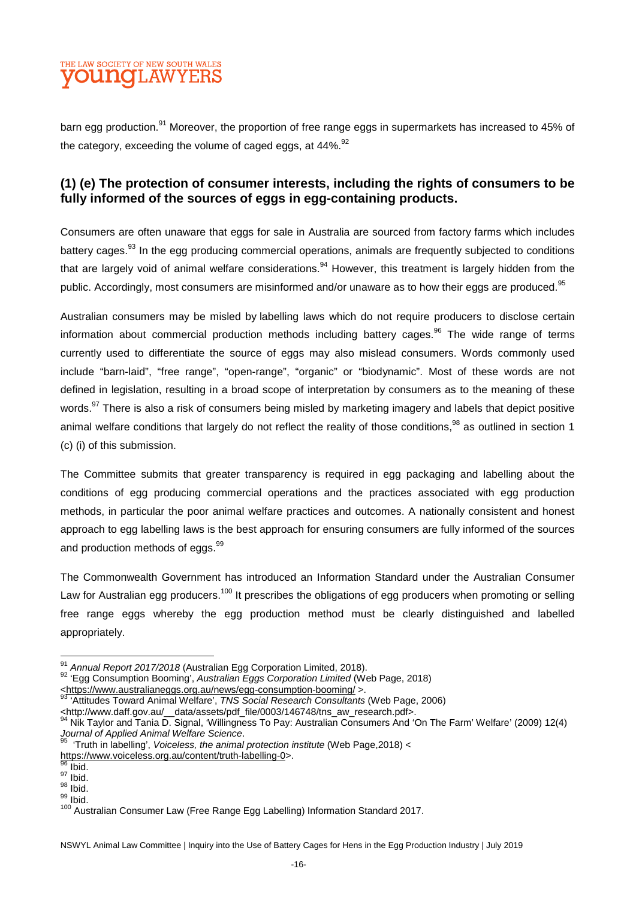# THE LAW SOCIETY OF NEW SOUTH WALES **OUINOII.AWYE**

barn egg production.<sup>91</sup> Moreover, the proportion of free range eggs in supermarkets has increased to 45% of the category, exceeding the volume of caged eggs, at  $44\%$ . <sup>92</sup>

#### **(1) (e) The protection of consumer interests, including the rights of consumers to be fully informed of the sources of eggs in egg-containing products.**

Consumers are often unaware that eggs for sale in Australia are sourced from factory farms which includes battery cages.<sup>93</sup> In the egg producing commercial operations, animals are frequently subjected to conditions that are largely void of animal welfare considerations.<sup>94</sup> However, this treatment is largely hidden from the public. Accordingly, most consumers are misinformed and/or unaware as to how their eggs are produced.<sup>95</sup>

Australian consumers may be misled by labelling laws which do not require producers to disclose certain information about commercial production methods including battery cages.<sup>96</sup> The wide range of terms currently used to differentiate the source of eggs may also mislead consumers. Words commonly used include "barn-laid", "free range", "open-range", "organic" or "biodynamic". Most of these words are not defined in legislation, resulting in a broad scope of interpretation by consumers as to the meaning of these words.<sup>97</sup> There is also a risk of consumers being misled by marketing imagery and labels that depict positive animal welfare conditions that largely do not reflect the reality of those conditions.<sup>98</sup> as outlined in section 1 (c) (i) of this submission.

The Committee submits that greater transparency is required in egg packaging and labelling about the conditions of egg producing commercial operations and the practices associated with egg production methods, in particular the poor animal welfare practices and outcomes. A nationally consistent and honest approach to egg labelling laws is the best approach for ensuring consumers are fully informed of the sources and production methods of eggs.<sup>99</sup>

The Commonwealth Government has introduced an Information Standard under the Australian Consumer Law for Australian egg producers.<sup>100</sup> It prescribes the obligations of egg producers when promoting or selling free range eggs whereby the egg production method must be clearly distinguished and labelled appropriately.

<sup>91</sup> *Annual Report 2017/2018* (Australian Egg Corporation Limited, 2018).

<sup>92</sup> 'Egg Consumption Booming', *Australian Eggs Corporation Limited* (Web Page, 2018)

<sup>&</sup>lt;https://www.australianeggs.org.au/news/egg-consumption-booming/ >.

<sup>93</sup> 'Attitudes Toward Animal Welfare', *TNS Social Research Consultants* (Web Page, 2006)

<sup>&</sup>lt;http://www.daff.gov.au/\_\_data/assets/pdf\_file/0003/146748/tns\_aw\_research.pdf>.

<sup>94</sup> Nik Taylor and Tania D. Signal, 'Willingness To Pay: Australian Consumers And 'On The Farm' Welfare' (2009) 12(4) *Journal of Applied Animal Welfare Science*.

<sup>95</sup> 'Truth in labelling', *Voiceless, the animal protection institute* (Web Page,2018) < https://www.voiceless.org.au/content/truth-labelling-0>.

 $\frac{96}{96}$  Ibid.  $97$  Ibid.

 $98$  Ibid.  $99$  Ibid.

<sup>100</sup> Australian Consumer Law (Free Range Egg Labelling) Information Standard 2017.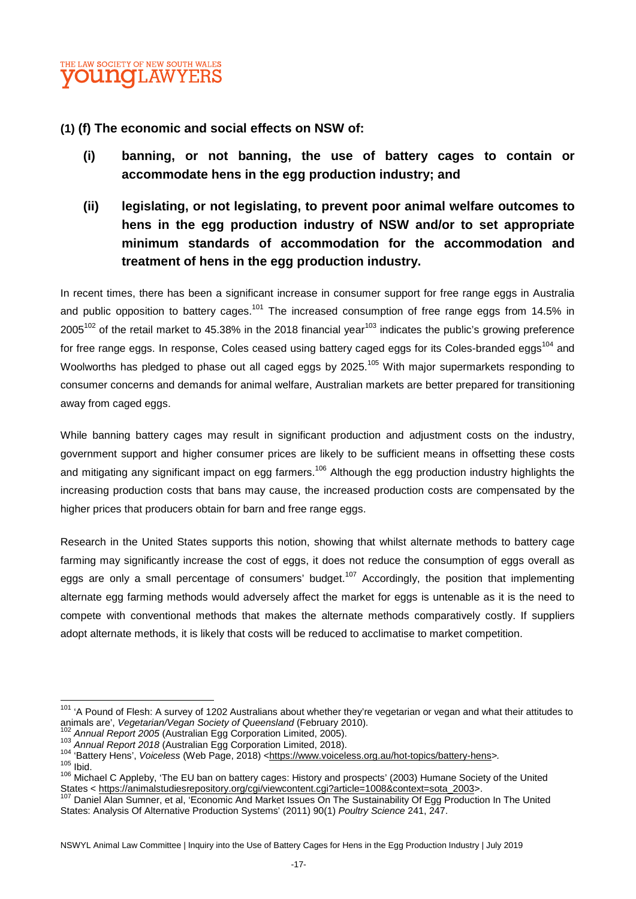

**(1) (f) The economic and social effects on NSW of:** 

- **(i) banning, or not banning, the use of battery cages to contain or accommodate hens in the egg production industry; and**
- **(ii) legislating, or not legislating, to prevent poor animal welfare outcomes to hens in the egg production industry of NSW and/or to set appropriate minimum standards of accommodation for the accommodation and treatment of hens in the egg production industry.**

In recent times, there has been a significant increase in consumer support for free range eggs in Australia and public opposition to battery cages.<sup>101</sup> The increased consumption of free range eggs from 14.5% in 2005<sup>102</sup> of the retail market to 45.38% in the 2018 financial year<sup>103</sup> indicates the public's growing preference for free range eggs. In response, Coles ceased using battery caged eggs for its Coles-branded eggs<sup>104</sup> and Woolworths has pledged to phase out all caged eggs by 2025.<sup>105</sup> With major supermarkets responding to consumer concerns and demands for animal welfare, Australian markets are better prepared for transitioning away from caged eggs.

While banning battery cages may result in significant production and adjustment costs on the industry, government support and higher consumer prices are likely to be sufficient means in offsetting these costs and mitigating any significant impact on egg farmers.<sup>106</sup> Although the egg production industry highlights the increasing production costs that bans may cause, the increased production costs are compensated by the higher prices that producers obtain for barn and free range eggs.

Research in the United States supports this notion, showing that whilst alternate methods to battery cage farming may significantly increase the cost of eggs, it does not reduce the consumption of eggs overall as eggs are only a small percentage of consumers' budget.<sup>107</sup> Accordingly, the position that implementing alternate egg farming methods would adversely affect the market for eggs is untenable as it is the need to compete with conventional methods that makes the alternate methods comparatively costly. If suppliers adopt alternate methods, it is likely that costs will be reduced to acclimatise to market competition.

<sup>&</sup>lt;sup>101</sup> 'A Pound of Flesh: A survey of 1202 Australians about whether they're vegetarian or vegan and what their attitudes to animals are', *Vegetarian/Vegan Society of Queensland* (February 2010).

<sup>102</sup> *Annual Report 2005* (Australian Egg Corporation Limited, 2005).

<sup>103</sup> *Annual Report 2018* (Australian Egg Corporation Limited, 2018).

<sup>104 &#</sup>x27;Battery Hens', *Voiceless* (Web Page, 2018) <https://www.voiceless.org.au/hot-topics/battery-hens>.

 $105$  Ibid.

<sup>106</sup> Michael C Appleby, 'The EU ban on battery cages: History and prospects' (2003) Humane Society of the United States < https://animalstudiesrepository.org/cgi/viewcontent.cgi?article=1008&context=sota\_2003>.

Daniel Alan Sumner, et al, 'Economic And Market Issues On The Sustainability Of Egg Production In The United States: Analysis Of Alternative Production Systems' (2011) 90(1) *Poultry Science* 241, 247.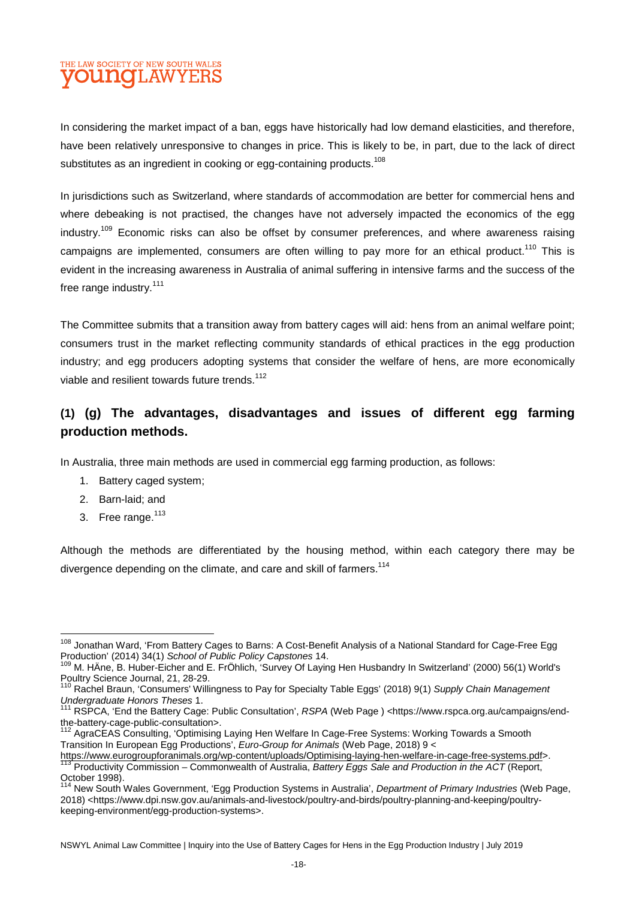# THE LAW SOCIETY OF NEW SOUTH WALES **DUINOTI, AW**

In considering the market impact of a ban, eggs have historically had low demand elasticities, and therefore, have been relatively unresponsive to changes in price. This is likely to be, in part, due to the lack of direct substitutes as an ingredient in cooking or egg-containing products.<sup>108</sup>

In jurisdictions such as Switzerland, where standards of accommodation are better for commercial hens and where debeaking is not practised, the changes have not adversely impacted the economics of the egg industry.<sup>109</sup> Economic risks can also be offset by consumer preferences, and where awareness raising campaigns are implemented, consumers are often willing to pay more for an ethical product.<sup>110</sup> This is evident in the increasing awareness in Australia of animal suffering in intensive farms and the success of the free range industry.<sup>111</sup>

The Committee submits that a transition away from battery cages will aid: hens from an animal welfare point; consumers trust in the market reflecting community standards of ethical practices in the egg production industry; and egg producers adopting systems that consider the welfare of hens, are more economically viable and resilient towards future trends.<sup>112</sup>

# **(1) (g) The advantages, disadvantages and issues of different egg farming production methods.**

In Australia, three main methods are used in commercial egg farming production, as follows:

- 1. Battery caged system;
- 2. Barn-laid; and
- 3. Free range.<sup>113</sup>

Although the methods are differentiated by the housing method, within each category there may be divergence depending on the climate, and care and skill of farmers.<sup>114</sup>

<sup>&</sup>lt;sup>108</sup> Jonathan Ward. 'From Battery Cages to Barns: A Cost-Benefit Analysis of a National Standard for Cage-Free Egg Production' (2014) 34(1) *School of Public Policy Capstones* 14.

<sup>109</sup> M. HÄne, B. Huber-Eicher and E. FrÖhlich, 'Survey Of Laying Hen Husbandry In Switzerland' (2000) 56(1) World's Poultry Science Journal, 21, 28-29.

<sup>110</sup> Rachel Braun, 'Consumers' Willingness to Pay for Specialty Table Eggs' (2018) 9(1) *Supply Chain Management Undergraduate Honors Theses* 1.

<sup>111</sup> RSPCA, 'End the Battery Cage: Public Consultation', *RSPA* (Web Page ) <https://www.rspca.org.au/campaigns/endthe-battery-cage-public-consultation>.

<sup>112</sup> Batter, Jugg Punit Consulting, 'Optimising Laying Hen Welfare In Cage-Free Systems: Working Towards a Smooth Transition In European Egg Productions', *Euro-Group for Animals* (Web Page, 2018) 9 <

https://www.eurogroupforanimals.org/wp-content/uploads/Optimising-laying-hen-welfare-in-cage-free-systems.pdf>. <sup>113</sup> Productivity Commission – Commonwealth of Australia, *Battery Eggs Sale and Production in the ACT* (Report, Subdivity<br>October 1998).

<sup>114</sup> New South Wales Government, 'Egg Production Systems in Australia', *Department of Primary Industries* (Web Page, 2018) <https://www.dpi.nsw.gov.au/animals-and-livestock/poultry-and-birds/poultry-planning-and-keeping/poultrykeeping-environment/egg-production-systems>.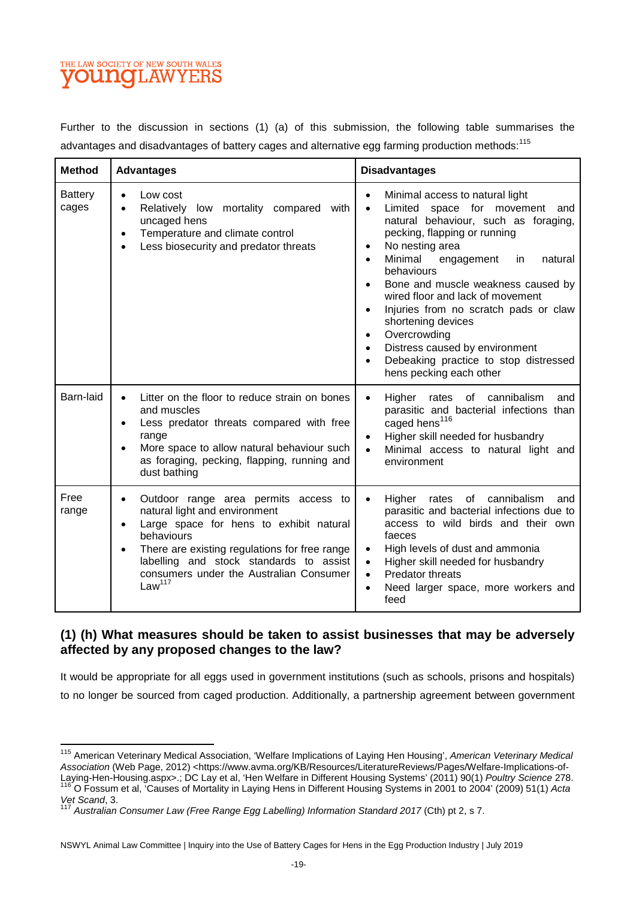# THE LAW SOCIETY OF NEW SOUTH WALES **OUNGLAWYERS**

Further to the discussion in sections (1) (a) of this submission, the following table summarises the advantages and disadvantages of battery cages and alternative egg farming production methods:<sup>115</sup>

| <b>Method</b>           | <b>Advantages</b>                                                                                                                                                                                                                                                                           | <b>Disadvantages</b>                                                                                                                                                                                                                                                                                                                                                                                                                                                                                                                                                              |
|-------------------------|---------------------------------------------------------------------------------------------------------------------------------------------------------------------------------------------------------------------------------------------------------------------------------------------|-----------------------------------------------------------------------------------------------------------------------------------------------------------------------------------------------------------------------------------------------------------------------------------------------------------------------------------------------------------------------------------------------------------------------------------------------------------------------------------------------------------------------------------------------------------------------------------|
| <b>Battery</b><br>cages | Low cost<br>$\bullet$<br>Relatively low mortality compared with<br>uncaged hens<br>Temperature and climate control<br>Less biosecurity and predator threats                                                                                                                                 | Minimal access to natural light<br>$\bullet$<br>Limited space for movement<br>and<br>$\bullet$<br>natural behaviour, such as foraging,<br>pecking, flapping or running<br>No nesting area<br>$\bullet$<br>Minimal<br>engagement<br>natural<br>in<br>$\bullet$<br>behaviours<br>Bone and muscle weakness caused by<br>$\bullet$<br>wired floor and lack of movement<br>Injuries from no scratch pads or claw<br>$\bullet$<br>shortening devices<br>Overcrowding<br>$\bullet$<br>Distress caused by environment<br>Debeaking practice to stop distressed<br>hens pecking each other |
| Barn-laid               | Litter on the floor to reduce strain on bones<br>and muscles<br>Less predator threats compared with free<br>range<br>More space to allow natural behaviour such<br>as foraging, pecking, flapping, running and<br>dust bathing                                                              | of cannibalism<br>Higher<br>rates<br>and<br>$\bullet$<br>parasitic and bacterial infections than<br>caged hens <sup>116</sup><br>Higher skill needed for husbandry<br>$\bullet$<br>Minimal access to natural light and<br>$\bullet$<br>environment                                                                                                                                                                                                                                                                                                                                |
| Free<br>range           | Outdoor range area permits access to<br>natural light and environment<br>Large space for hens to exhibit natural<br>behaviours<br>There are existing regulations for free range<br>labelling and stock standards to assist<br>consumers under the Australian Consumer<br>Law <sup>117</sup> | of cannibalism<br>Higher<br>rates<br>and<br>$\bullet$<br>parasitic and bacterial infections due to<br>access to wild birds and their own<br>faeces<br>High levels of dust and ammonia<br>$\bullet$<br>Higher skill needed for husbandry<br>$\bullet$<br>Predator threats<br>$\bullet$<br>Need larger space, more workers and<br>$\bullet$<br>feed                                                                                                                                                                                                                                 |

#### **(1) (h) What measures should be taken to assist businesses that may be adversely affected by any proposed changes to the law?**

It would be appropriate for all eggs used in government institutions (such as schools, prisons and hospitals) to no longer be sourced from caged production. Additionally, a partnership agreement between government

<sup>115</sup> American Veterinary Medical Association, 'Welfare Implications of Laying Hen Housing', *American Veterinary Medical Association* (Web Page, 2012) <https://www.avma.org/KB/Resources/LiteratureReviews/Pages/Welfare-Implications-of-Laying-Hen-Housing.aspx>.; DC Lay et al, 'Hen Welfare in Different Housing Systems' (2011) 90(1) *Poultry Science* 278.

<sup>116</sup> O Fossum et al, 'Causes of Mortality in Laying Hens in Different Housing Systems in 2001 to 2004' (2009) 51(1) *Acta Vet Scand*, 3.

<sup>&</sup>lt;sup>117</sup> Australian Consumer Law (Free Range Egg Labelling) Information Standard 2017 (Cth) pt 2, s 7.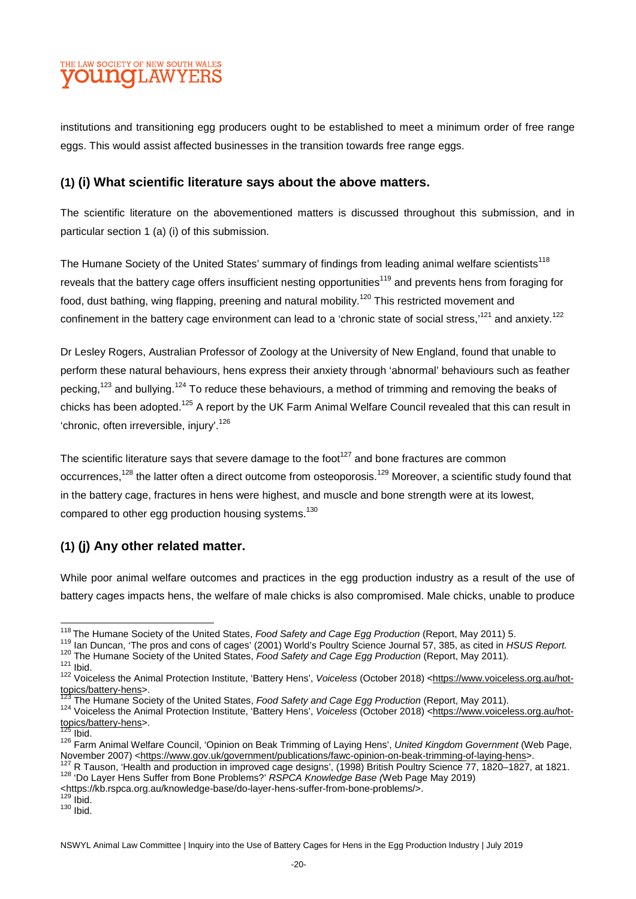# THE LAW SOCIETY OF NEW SOUTH WALES **OUNCLAWYE**

institutions and transitioning egg producers ought to be established to meet a minimum order of free range eggs. This would assist affected businesses in the transition towards free range eggs.

#### **(1) (i) What scientific literature says about the above matters.**

The scientific literature on the abovementioned matters is discussed throughout this submission, and in particular section 1 (a) (i) of this submission.

The Humane Society of the United States' summary of findings from leading animal welfare scientists<sup>118</sup> reveals that the battery cage offers insufficient nesting opportunities<sup>119</sup> and prevents hens from foraging for food, dust bathing, wing flapping, preening and natural mobility.<sup>120</sup> This restricted movement and confinement in the battery cage environment can lead to a 'chronic state of social stress.'<sup>121</sup> and anxiety.<sup>122</sup>

Dr Lesley Rogers, Australian Professor of Zoology at the University of New England, found that unable to perform these natural behaviours, hens express their anxiety through 'abnormal' behaviours such as feather pecking,<sup>123</sup> and bullying,<sup>124</sup> To reduce these behaviours, a method of trimming and removing the beaks of chicks has been adopted.<sup>125</sup> A report by the UK Farm Animal Welfare Council revealed that this can result in 'chronic, often irreversible. injury'.<sup>126</sup>

The scientific literature says that severe damage to the foot<sup>127</sup> and bone fractures are common occurrences,<sup>128</sup> the latter often a direct outcome from osteoporosis.<sup>129</sup> Moreover, a scientific study found that in the battery cage, fractures in hens were highest, and muscle and bone strength were at its lowest, compared to other egg production housing systems.<sup>130</sup>

# **(1) (j) Any other related matter.**

While poor animal welfare outcomes and practices in the egg production industry as a result of the use of battery cages impacts hens, the welfare of male chicks is also compromised. Male chicks, unable to produce

<sup>120</sup> The Humane Society of the United States, *Food Safety and Cage Egg Production* (Report, May 2011)*.* 

<https://kb.rspca.org.au/knowledge-base/do-layer-hens-suffer-from-bone-problems/>.

 $129$  lbid.  $130$  Ibid.

<sup>118</sup>The Humane Society of the United States, *Food Safety and Cage Egg Production* (Report, May 2011) 5.

<sup>119</sup> Ian Duncan, 'The pros and cons of cages' (2001) World's Poultry Science Journal 57, 385, as cited in *HSUS Report.* 

 $121$  Ibid.

<sup>122</sup> Voiceless the Animal Protection Institute, 'Battery Hens', *Voiceless* (October 2018) <https://www.voiceless.org.au/hottopics/battery-hens>.

<sup>123</sup> The Humane Society of the United States, *Food Safety and Cage Egg Production* (Report, May 2011).

<sup>124</sup> Voiceless the Animal Protection Institute, 'Battery Hens', *Voiceless* (October 2018) <https://www.voiceless.org.au/hottopics/battery-hens>.

 $125$  Ibid.

<sup>126</sup> Farm Animal Welfare Council, 'Opinion on Beak Trimming of Laying Hens', *United Kingdom Government* (Web Page, November 2007) <https://www.gov.uk/government/publications/fawc-opinion-on-beak-trimming-of-laying-hens>.

<sup>127</sup> R Tauson, 'Health and production in improved cage designs', (1998) British Poultry Science 77, 1820–1827, at 1821. <sup>128</sup> 'Do Layer Hens Suffer from Bone Problems?' *RSPCA Knowledge Base (*Web Page May 2019)